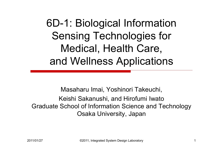6D-1: Biological Information Sensing Technologies for Medical, Health Care, and Wellness Applications

Masaharu Imai, Yoshinori Takeuchi, Keishi Sakanushi, and Hirofumi Iwato Graduate School of Information Science and Technology Osaka University, Japan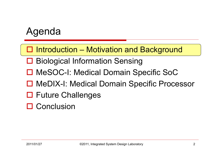□ Introduction – Motivation and Background

- **□ Biological Information Sensing**
- □ MeSOC-I: Medical Domain Specific SoC
- □ MeDIX-I: Medical Domain Specific Processor
- □ Future Challenges
- **□ Conclusion**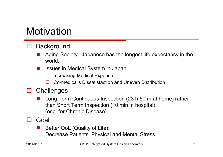#### **Motivation**

#### □ **Background**

- an<br>Ma Aging Society: Japanese has the longest life expectancy in the world.
- Issues in Medical System in Japan
	- $\Box$ Increasing Medical Expense
	- □ Co-medical's Dissatisfaction and Uneven Distribution
- $\Box$ **Challenges** 
	- Long Term Continuous Inspection (23 h 50 m at home) rather than Short Term Inspection (10 min in hospital) (esp. for Chronic Disease)
- **ITT**  Goal
	- Better QoL (Quality of Life): Decrease Patients' Physical and Mental Stress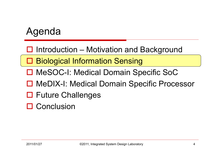□ Introduction – Motivation and Background

□ Biological Information Sensing

- □ MeSOC-I: Medical Domain Specific SoC
- □ MeDIX-I: Medical Domain Specific Processor
- □ Future Challenges
- **□ Conclusion**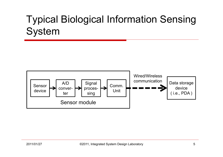# Typical Biological Information Sensing System

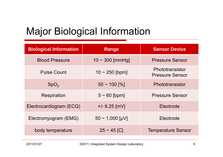# Major Biological Information

| <b>Biological Information</b> | Range                | <b>Sensor Device</b>                      |  |
|-------------------------------|----------------------|-------------------------------------------|--|
| <b>Blood Pressure</b>         | $10 \sim 300$ [mmHg] | <b>Pressure Sensor</b>                    |  |
| <b>Pulse Count</b>            | $10 \sim 250$ [bpm]  | Phototransistor<br><b>Pressure Sensor</b> |  |
| SpO <sub>2</sub>              | $50 \sim 100$ [%]    | Phototransistor                           |  |
| <b>Respiration</b>            | $5 \sim 60$ [bpm]    | <b>Pressure Sensor</b>                    |  |
| Electrocardiogram (ECG)       | $+/- 6.25$ [mV]      | Electrode                                 |  |
| Electromyogram (EMG)          | $50 \sim 1,000$ [µV] | Electrode                                 |  |
| body temperature              | $25 \sim 45$ [C]     | <b>Temperature Sensor</b>                 |  |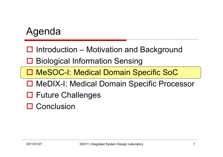□ Introduction – Motivation and Background

**□ Biological Information Sensing** 

□ MeSOC-I: Medical Domain Specific SoC

□ MeDIX-I: Medical Domain Specific Processor

□ Future Challenges

**□ Conclusion**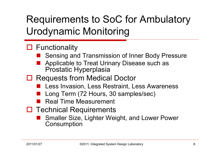# Requirements to SoC for Ambulatory Urodynamic Monitoring

#### □ Functionality

- Sensing and Transmission of Inner Body Pressure
- Applicable to Treat Urinary Disease such as Prostatic Hyperplasia
- □ Requests from Medical Doctor
	- **Less Invasion, Less Restraint, Less Awareness**
	- ■ Long Term (72 Hours, 30 samples/sec)
	- Real Time Measurement
- □ Technical Requirements
	- Smaller Size, Lighter Weight, and Lower Power **Consumption**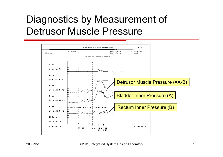# Diagnostics by Measurement of Detrusor Muscle Pressure

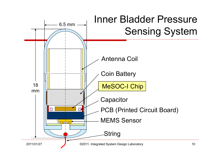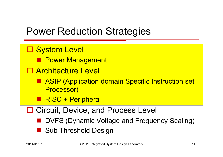#### Power Reduction Strategies

- □ System Level
	- **Report Management**
- □ Architecture Level
	- ASIP (Application domain Specific Instruction set Processor)
	- **RISC + Peripheral**
- □ Circuit, Device, and Process Level
	- DVFS (Dynamic Voltage and Frequency Scaling)
	- Sub Threshold Design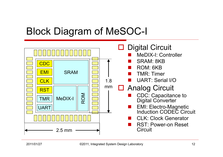#### Block Diagram of MeSOC-I

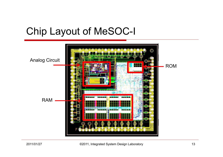# Chip Layout of MeSOC-I

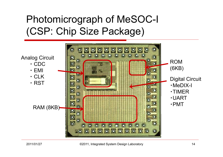# Photomicrograph of MeSOC-I (CSP: Chip Size Package)

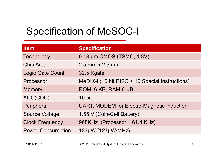# Specification of MeSOC-I

| <b>Item</b>              | <b>Specification</b>                              |
|--------------------------|---------------------------------------------------|
| Technology               | 0.18 µm CMOS (TSMC, 1.8V)                         |
| <b>Chip Area</b>         | $2.5$ mm $\times$ 2.5 mm                          |
| <b>Logic Gate Count</b>  | 32.5 Kgate                                        |
| Processor                | MeDIX-I (16 bit RISC + 10 Special Instructions)   |
| <b>Memory</b>            | ROM: 6 KB, RAM 8 KB                               |
| ADC(CDC)                 | 10 bit                                            |
| Peripheral               | <b>UART, MODEM for Electro-Magnetic Induction</b> |
| <b>Source Voltage</b>    | 1.55 V (Coin-Cell Battery)                        |
| <b>Clock Frequency</b>   | 968KHz (Processor: 161.4 KHz)                     |
| <b>Power Consumption</b> | 123µW (127µW/MHz)                                 |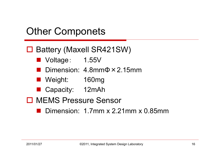#### Other Componets

#### □ Battery (Maxell SR421SW)

- Voltage: 1.55V
- Dimension: 4.8mmΦ×2.15mm
- Weight: 160mg
- Capacity: 12mAh
- □ MEMS Pressure Sensor
	- Dimension: 1.7mm x 2.21mm x 0.85mm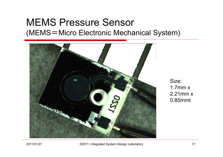#### MEMS Pressure Sensor (MEMS <sup>=</sup>Micro Electronic Mechanical System)



Size: 1.7mm x2.21mm x0.85mmt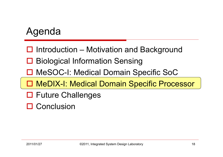- □ Introduction Motivation and Background
- **□ Biological Information Sensing**
- □ MeSOC-I: Medical Domain Specific SoC
- □ MeDIX-I: Medical Domain Specific Processor
- □ Future Challenges
- **□ Conclusion**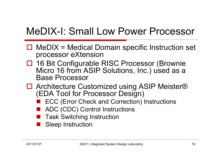# MeDIX-I: Small Low Power Processor

- $\Box$  MeDIX = Medical Domain specific Instruction set processor eXtension
- □ 16 Bit Configurable RISC Processor (Brownie Micro 16 from ASIP Solutions, Inc.) used as a Base Processor. . . . . . . . .
- □ Architecture Customized using ASIP Meister® (EDA Tool for Processor Design)
	- ECC (Error Check and Correction) Instructions
	- ADC (CDC) Control Instructions
	- Task Switching Instruction
	- Sleep Instruction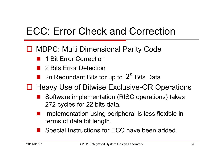# ECC: Error Check and Correction

- □ MDPC: Multi Dimensional Parity Code
	- 1 Bit Error Correction
	- 2 Bits Error Detection
	- 2*n* Redundant Bits for up to  $2^n$  Bits Data
- □ Heavy Use of Bitwise Exclusive-OR Operations
	- Software implementation (RISC operations) takes 272 cycles for 22 bits data.
	- Implementation using peripheral is less flexible in terms of data bit length.
	- Special Instructions for ECC have been added.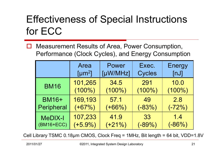# Effectiveness of Special Instructions for ECC

П Measurement Results of Area, Power Consumption, Performance (Clock Cycles), and Energy Consumption

|                | Area                    | Power     | Exec.         | <b>Energy</b> |
|----------------|-------------------------|-----------|---------------|---------------|
|                | $\lceil \mu m^2 \rceil$ | [µW/MHz]  | <b>Cycles</b> | [nJ]          |
| <b>BM16</b>    | 101,265                 | 34.5      | 291           | 10.0          |
|                | $(100\%)$               | $(100\%)$ | $(100\%)$     | $(100\%)$     |
| <b>BM16+</b>   | 169,193                 | 57.1      | 49            | 2.8           |
| Peripheral     | $(+67%)$                | $(+66%)$  | $(-83%)$      | $(-72%)$      |
| <b>MeDIX-I</b> | 107,233                 | 41.9      | 33            | 1.4           |
| $(BM16 + ECC)$ | $(+5.9\%)$              | $(+21%)$  | $(-89%)$      | $(-86%)$      |

Cell Library TSMC 0.18 μm CMOS, Clock Freq = 1MHz, Bit length = 64 bit, VDD=1.8V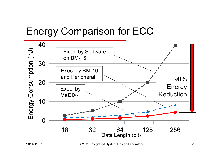## Energy Comparison for ECC

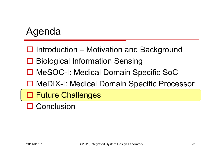- □ Introduction Motivation and Background
- **□ Biological Information Sensing**
- □ MeSOC-I: Medical Domain Specific SoC
- □ MeDIX-I: Medical Domain Specific Processor
- **O Future Challenges**
- **□ Conclusion**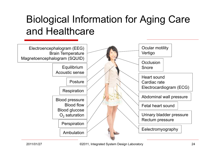# Biological Information for Aging Care and Healthcare

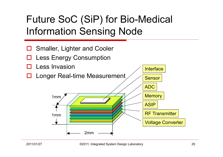# Future SoC (SiP) for Bio-Medical Information Sensing Node

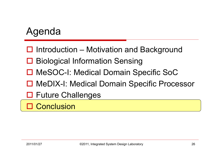- □ Introduction Motivation and Background
- **□ Biological Information Sensing**
- □ MeSOC-I: Medical Domain Specific SoC
- □ MeDIX-I: Medical Domain Specific Processor
- □ Future Challenges

□ Conclusion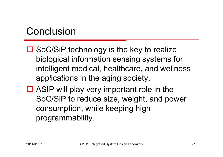#### Conclusion

- □ SoC/SiP technology is the key to realize biological information sensing systems for intelligent medical, healthcare, and wellness applications in the aging society.
- $\Box$  ASIP will play very important role in the SoC/SiP to reduce size, weight, and power consumption, while keeping high programmability.